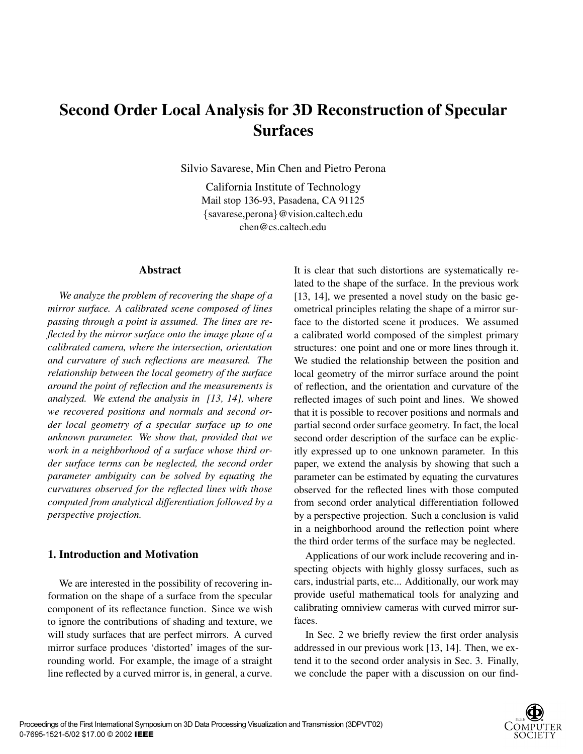# **Second Order Local Analysis for 3D Reconstruction of Specular Surfaces**

Silvio Savarese, Min Chen and Pietro Perona

California Institute of Technology Mail stop 136-93, Pasadena, CA 91125  $\{savarese, perona\}$ @vision.caltech.edu chen@cs.caltech.edu

#### **Abstract**

*We analyze the problem of recovering the shape of a mirror surface. A calibrated scene composed of lines passing through a point is assumed. The lines are reflected by the mirror surface onto the image plane of a calibrated camera, where the intersection, orientation and curvature of such reflections are measured. The relationship between the local geometry of the surface around the point of reflection and the measurements is analyzed. We extend the analysis in [13, 14], where we recovered positions and normals and second order local geometry of a specular surface up to one unknown parameter. We show that, provided that we work in a neighborhood of a surface whose third order surface terms can be neglected, the second order parameter ambiguity can be solved by equating the curvatures observed for the reflected lines with those computed from analytical differentiation followed by a perspective projection.*

# **1. Introduction and Motivation**

We are interested in the possibility of recovering information on the shape of a surface from the specular component of its reflectance function. Since we wish to ignore the contributions of shading and texture, we will study surfaces that are perfect mirrors. A curved mirror surface produces 'distorted' images of the surrounding world. For example, the image of a straight line reflected by a curved mirror is, in general, a curve.

It is clear that such distortions are systematically related to the shape of the surface. In the previous work [13, 14], we presented a novel study on the basic geometrical principles relating the shape of a mirror surface to the distorted scene it produces. We assumed a calibrated world composed of the simplest primary structures: one point and one or more lines through it. We studied the relationship between the position and local geometry of the mirror surface around the point of reflection, and the orientation and curvature of the reflected images of such point and lines. We showed that it is possible to recover positions and normals and partial second order surface geometry. In fact, the local second order description of the surface can be explicitly expressed up to one unknown parameter. In this paper, we extend the analysis by showing that such a parameter can be estimated by equating the curvatures observed for the reflected lines with those computed from second order analytical differentiation followed by a perspective projection. Such a conclusion is valid in a neighborhood around the reflection point where the third order terms of the surface may be neglected.

Applications of our work include recovering and inspecting objects with highly glossy surfaces, such as cars, industrial parts, etc... Additionally, our work may provide useful mathematical tools for analyzing and calibrating omniview cameras with curved mirror surfaces.

In Sec. 2 we briefly review the first order analysis addressed in our previous work [13, 14]. Then, we extend it to the second order analysis in Sec. 3. Finally, we conclude the paper with a discussion on our find-

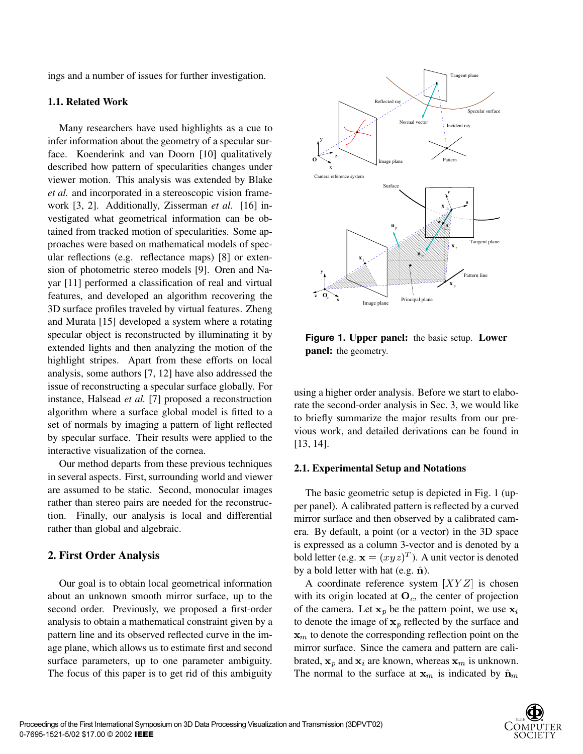ings and a number of issues for further investigation.

#### **1.1. Related Work**

Many researchers have used highlights as a cue to infer information about the geometry of a specular surface. Koenderink and van Doorn [10] qualitatively described how pattern of specularities changes under viewer motion. This analysis was extended by Blake *et al.* and incorporated in a stereoscopic vision framework [3, 2]. Additionally, Zisserman *et al.* [16] investigated what geometrical information can be obtained from tracked motion of specularities. Some approaches were based on mathematical models of specular reflections (e.g. reflectance maps) [8] or extension of photometric stereo models [9]. Oren and Nayar [11] performed a classification of real and virtual features, and developed an algorithm recovering the 3D surface profiles traveled by virtual features. Zheng and Murata [15] developed a system where a rotating specular object is reconstructed by illuminating it by extended lights and then analyzing the motion of the highlight stripes. Apart from these efforts on local analysis, some authors [7, 12] have also addressed the issue of reconstructing a specular surface globally. For instance, Halsead *et al.* [7] proposed a reconstruction algorithm where a surface global model is fitted to a set of normals by imaging a pattern of light reflected by specular surface. Their results were applied to the interactive visualization of the cornea.

Our method departs from these previous techniques in several aspects. First, surrounding world and viewer are assumed to be static. Second, monocular images rather than stereo pairs are needed for the reconstruction. Finally, our analysis is local and differential rather than global and algebraic.

## **2. First Order Analysis**

Our goal is to obtain local geometrical information about an unknown smooth mirror surface, up to the second order. Previously, we proposed a first-order analysis to obtain a mathematical constraint given by a pattern line and its observed reflected curve in the image plane, which allows us to estimate first and second surface parameters, up to one parameter ambiguity. The focus of this paper is to get rid of this ambiguity



**Figure 1. Upper panel:** the basic setup. **Lower panel:** the geometry.

using a higher order analysis. Before we start to elaborate the second-order analysis in Sec. 3, we would like to briefly summarize the major results from our previous work, and detailed derivations can be found in [13, 14].

#### **2.1. Experimental Setup and Notations**

The basic geometric setup is depicted in Fig. 1 (upper panel). A calibrated pattern is reflected by a curved mirror surface and then observed by a calibrated camera. By default, a point (or a vector) in the 3D space is expressed as a column 3-vector and is denoted by a bold letter (e.g.  $\mathbf{x} = (xyz)^T$ ). A unit vector is denoted by a bold letter with hat (e.g.  $\hat{\mathbf{n}}$ ).

A coordinate reference system  $[XYZ]$  is chosen with its origin located at  $O<sub>c</sub>$ , the center of projection of the camera. Let  $x_p$  be the pattern point, we use  $x_i$ to denote the image of  $x_p$  reflected by the surface and  $x_m$  to denote the corresponding reflection point on the mirror surface. Since the camera and pattern are calibrated,  $x_p$  and  $x_i$  are known, whereas  $x_m$  is unknown. The normal to the surface at  $x_m$  is indicated by  $\hat{\mathbf{n}}_m$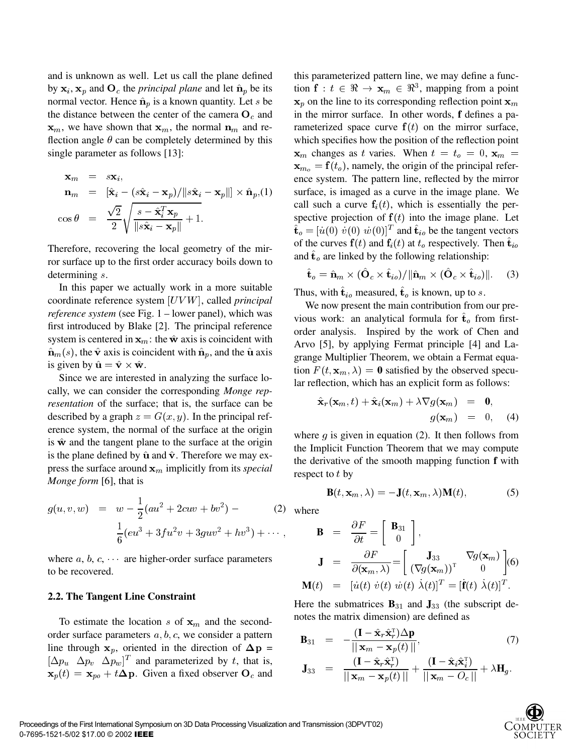and is unknown as well. Let us call the plane defined by  $x_i$ ,  $x_p$  and  $O_c$  the *principal plane* and let  $\hat{\mathbf{n}}_p$  be its normal vector. Hence  $\hat{\mathbf{n}}_p$  is a known quantity. Let s be the distance between the center of the camera  $O<sub>c</sub>$  and  $x_m$ , we have shown that  $x_m$ , the normal  $n_m$  and reflection angle  $\theta$  can be completely determined by this single parameter as follows [13]:

$$
\mathbf{x}_m = s\mathbf{x}_i, \n\mathbf{n}_m = [\hat{\mathbf{x}}_i - (s\hat{\mathbf{x}}_i - \mathbf{x}_p)/||s\hat{\mathbf{x}}_i - \mathbf{x}_p||] \times \hat{\mathbf{n}}_p, (1) \n\cos \theta = \frac{\sqrt{2}}{2} \sqrt{\frac{s - \hat{\mathbf{x}}_i^T \mathbf{x}_p}{||s\hat{\mathbf{x}}_i - \mathbf{x}_p||} + 1}.
$$

Therefore, recovering the local geometry of the mirror surface up to the first order accuracy boils down to determining s.

In this paper we actually work in a more suitable coordinate reference system [UVW], called *principal reference system* (see Fig. 1 – lower panel), which was first introduced by Blake [2]. The principal reference system is centered in  $x_m$ : the  $\hat{w}$  axis is coincident with  $\hat{\mathbf{n}}_m(s)$ , the  $\hat{\mathbf{v}}$  axis is coincident with  $\hat{\mathbf{n}}_p$ , and the  $\hat{\mathbf{u}}$  axis is given by  $\hat{\mathbf{u}} = \hat{\mathbf{v}} \times \hat{\mathbf{w}}$ .

Since we are interested in analyzing the surface locally, we can consider the corresponding *Monge representation* of the surface; that is, the surface can be described by a graph  $z = G(x, y)$ . In the principal reference system, the normal of the surface at the origin is  $\hat{w}$  and the tangent plane to the surface at the origin is the plane defined by  $\hat{u}$  and  $\hat{v}$ . Therefore we may express the surface around  $\mathbf{x}_m$  implicitly from its *special Monge form* [6], that is

$$
g(u, v, w) = w - \frac{1}{2}(au^2 + 2cuv + bv^2) - (2) \text{ where}
$$
  

$$
\frac{1}{6}(eu^3 + 3fu^2v + 3guv^2 + hv^3) + \cdots,
$$
 **B**

where  $a, b, c, \cdots$  are higher-order surface parameters to be recovered.

#### **2.2. The Tangent Line Constraint**

To estimate the location s of  $x_m$  and the secondorder surface parameters  $a, b, c$ , we consider a pattern line through  $x_p$ , oriented in the direction of  $\Delta p =$  $[\Delta p_u \ \Delta p_v \ \Delta p_w]^T$  and parameterized by t, that is,  $\mathbf{x}_p(t) = \mathbf{x}_{po} + t\Delta \mathbf{p}$ . Given a fixed observer  $\mathbf{O}_c$  and

 $\hat{\mathbf{n}}_p$ ,(1) surface, is imaged as a curve in the image plane. We this parameterized pattern line, we may define a function  $\mathbf{f}: t \in \Re \rightarrow \mathbf{x}_m \in \Re^3$ , mapping from a point  $x_p$  on the line to its corresponding reflection point  $x_m$ in the mirror surface. In other words, **f** defines a parameterized space curve  $f(t)$  on the mirror surface, which specifies how the position of the reflection point  $\mathbf{x}_m$  changes as t varies. When  $t = t_o = 0$ ,  $\mathbf{x}_m =$  $\mathbf{x}_{m_0} = \mathbf{f}(t_0)$ , namely, the origin of the principal reference system. The pattern line, reflected by the mirror call such a curve  $f_i(t)$ , which is essentially the perspective projection of  $f(t)$  into the image plane. Let  $\mathbf{t}_o = [u(0) \dot{v}(0) \dot{w}(0)]^T$  and  $\mathbf{t}_{io}$  be the tangent vectors of the curves  $f(t)$  and  $f_i(t)$  at  $t_o$  respectively. Then  $\dot{t}_{io}$ and  $\dot{\mathbf{t}}_o$  are linked by the following relationship:

$$
\hat{\mathbf{t}}_o = \hat{\mathbf{n}}_m \times (\hat{\mathbf{O}}_c \times \hat{\mathbf{t}}_{io}) / ||\hat{\mathbf{n}}_m \times (\hat{\mathbf{O}}_c \times \hat{\mathbf{t}}_{io})||. \quad (3)
$$

Thus, with  $\hat{\mathbf{t}}_{io}$  measured,  $\hat{\mathbf{t}}_{o}$  is known, up to s.

We now present the main contribution from our previous work: an analytical formula for  $\hat{t}_o$  from firstorder analysis. Inspired by the work of Chen and Arvo [5], by applying Fermat principle [4] and Lagrange Multiplier Theorem, we obtain a Fermat equation  $F(t, \mathbf{x}_m, \lambda) = \mathbf{0}$  satisfied by the observed specular reflection, which has an explicit form as follows:

$$
\hat{\mathbf{x}}_r(\mathbf{x}_m, t) + \hat{\mathbf{x}}_i(\mathbf{x}_m) + \lambda \nabla g(\mathbf{x}_m) = \mathbf{0},
$$
  
 
$$
g(\mathbf{x}_m) = 0, \quad (4)
$$

where q is given in equation (2). It then follows from the Implicit Function Theorem that we may compute the derivative of the smooth mapping function **f** with respect to  $t$  by

$$
\mathbf{B}(t, \mathbf{x}_m, \lambda) = -\mathbf{J}(t, \mathbf{x}_m, \lambda) \mathbf{M}(t), \tag{5}
$$

where

$$
\mathbf{B} = \frac{\partial F}{\partial t} = \begin{bmatrix} \mathbf{B}_{31} \\ 0 \end{bmatrix},
$$

$$
\mathbf{J} = \frac{\partial F}{\partial (\mathbf{x}_m, \lambda)} = \begin{bmatrix} \mathbf{J}_{33} & \nabla g(\mathbf{x}_m) \\ (\nabla g(\mathbf{x}_m))^{\mathrm{T}} & 0 \end{bmatrix} (6)
$$

$$
\mathbf{M}(t) = [ \dot{u}(t) \dot{v}(t) \dot{w}(t) \dot{\lambda}(t) ]^T = [ \dot{\mathbf{f}}(t) \dot{\lambda}(t) ]^T.
$$

Here the submatrices  $\mathbf{B}_{31}$  and  $\mathbf{J}_{33}$  (the subscript denotes the matrix dimension) are defined as

$$
\mathbf{B}_{31} = -\frac{(\mathbf{I} - \hat{\mathbf{x}}_r \hat{\mathbf{x}}_r^{\mathrm{T}}) \Delta \mathbf{p}}{\|\mathbf{x}_m - \mathbf{x}_p(t)\|},
$$
  
\n
$$
\mathbf{J}_{33} = \frac{(\mathbf{I} - \hat{\mathbf{x}}_r \hat{\mathbf{x}}_r^{\mathrm{T}})}{\|\mathbf{x}_m - \mathbf{x}_p(t)\|} + \frac{(\mathbf{I} - \hat{\mathbf{x}}_i \hat{\mathbf{x}}_i^{\mathrm{T}})}{\|\mathbf{x}_m - O_c\|} + \lambda \mathbf{H}_g.
$$
\n(7)

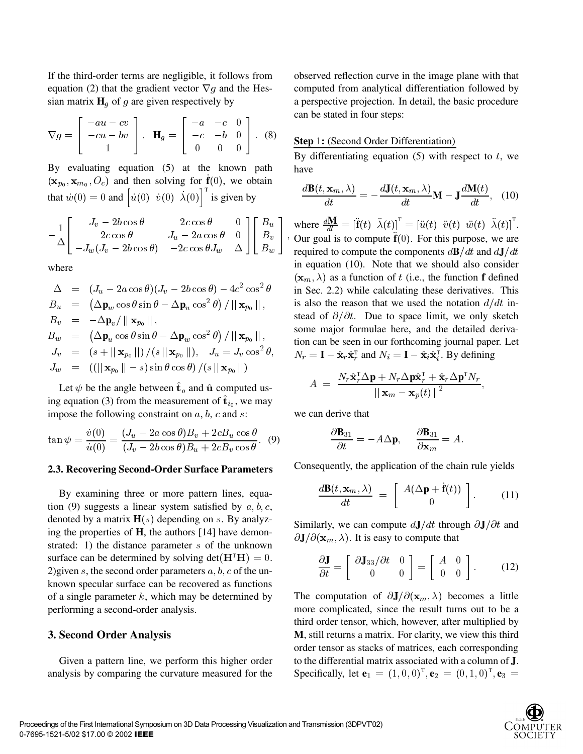If the third-order terms are negligible, it follows from equation (2) that the gradient vector  $\nabla g$  and the Hessian matrix  $H<sub>q</sub>$  of g are given respectively by

$$
\nabla g = \begin{bmatrix} -au - cv \\ -cu - bv \\ 1 \end{bmatrix}, \ \mathbf{H}_g = \begin{bmatrix} -a & -c & 0 \\ -c & -b & 0 \\ 0 & 0 & 0 \end{bmatrix}. \tag{8}
$$

By evaluating equation (5) at the known path  $(\mathbf{x}_{p_0}, \mathbf{x}_{m_0}, O_c)$  and then solving for  $\mathbf{f}(0)$ , we obtain that  $\dot{w}(0) = 0$  and  $\begin{bmatrix} \dot{u}(0) & \dot{v}(0) & \dot{\lambda}(0) \end{bmatrix}^T$  is given by

$$
-\frac{1}{\Delta}\left[\begin{array}{cc}J_v-2b\cos\theta&2c\cos\theta&0\\2c\cos\theta&J_u-2a\cos\theta&0\\-J_w(J_v-2b\cos\theta)&-2c\cos\theta J_w&\Delta\end{array}\right]\left[\begin{array}{c}B_u\\B_v\\B_w\end{array}\right],\begin{array}{c}\text{whet}\\ \text{Our}\\ \text{reqt}\end{array}
$$

where

$$
\Delta = (J_u - 2a \cos \theta)(J_v - 2b \cos \theta) - 4c^2 \cos^2 \theta
$$
  
\n
$$
B_u = (\Delta \mathbf{p}_w \cos \theta \sin \theta - \Delta \mathbf{p}_u \cos^2 \theta) / || \mathbf{x}_{p_0} ||,
$$
  
\n
$$
B_v = -\Delta \mathbf{p}_v / || \mathbf{x}_{p_0} ||,
$$
  
\n
$$
B_w = (\Delta \mathbf{p}_u \cos \theta \sin \theta - \Delta \mathbf{p}_w \cos^2 \theta) / || \mathbf{x}_{p_0} ||,
$$
  
\n
$$
J_v = (s + || \mathbf{x}_{p_0} ||) / (s || \mathbf{x}_{p_0} ||), J_u = J_v \cos^2 \theta,
$$
  
\n
$$
J_w = ((|| \mathbf{x}_{p_0} || - s) \sin \theta \cos \theta) / (s || \mathbf{x}_{p_0} ||)
$$

Let  $\psi$  be the angle between  $\hat{t}_o$  and  $\hat{u}$  computed using equation (3) from the measurement of  $t_{i_0}$ , we may impose the following constraint on  $a, b, c$  and  $s$ :

$$
\tan \psi = \frac{\dot{v}(0)}{\dot{u}(0)} = \frac{(J_u - 2a\cos\theta)B_v + 2cB_u\cos\theta}{(J_v - 2b\cos\theta)B_u + 2cB_v\cos\theta}.
$$
 (9)

#### **2.3. Recovering Second-Order Surface Parameters**

By examining three or more pattern lines, equation (9) suggests a linear system satisfied by  $a, b, c$ , denoted by a matrix  $H(s)$  depending on s. By analyzing the properties of **H**, the authors [14] have demonstrated: 1) the distance parameter s of the unknown surface can be determined by solving  $det(\mathbf{H}^{\mathsf{T}}\mathbf{H})=0$ . 2) given s, the second order parameters  $a, b, c$  of the unknown specular surface can be recovered as functions of a single parameter  $k$ , which may be determined by performing a second-order analysis.

#### **3. Second Order Analysis**

Given a pattern line, we perform this higher order analysis by comparing the curvature measured for the

- can be stated in four steps: observed reflection curve in the image plane with that computed from analytical differentiation followed by a perspective projection. In detail, the basic procedure

#### **Step 1:** (Second Order Differentiation)

By differentiating equation  $(5)$  with respect to t, we have

$$
\frac{d\mathbf{B}(t, \mathbf{x}_m, \lambda)}{dt} = -\frac{d\mathbf{J}(t, \mathbf{x}_m, \lambda)}{dt} \mathbf{M} - \mathbf{J}\frac{d\mathbf{M}(t)}{dt}, \quad (10)
$$

 $\left| \begin{array}{c} B_v \\ B_v \end{array} \right|$  on the goal is to compute  $f(0)$ . For this purpose, we are where  $\frac{d\mathbf{M}}{dt} = [\ddot{\mathbf{f}}(t) \quad \ddot{\lambda}(t)]^{\mathrm{T}} = [\ddot{u}(t) \quad \ddot{v}(t) \quad \ddot{w}(t) \quad \ddot{\lambda}(t)]^{\mathrm{T}}$ .<br>
Our goal is to compute  $\ddot{\mathbf{f}}(0)$ . For this purpose, we are<br>
required to compute the components  $d\mathbf{R}/dt$  and  $d\mathbf{I}/dt$  $\cos^2 \theta$  in Sec. 2.2) while calculating these derivatives. This required to compute the components  $d\mathbf{B}/dt$  and  $d\mathbf{J}/dt$ in equation (10). Note that we should also consider  $(\mathbf{x}_m, \lambda)$  as a function of t (i.e., the function **f** defined is also the reason that we used the notation  $d/dt$  instead of  $\partial/\partial t$ . Due to space limit, we only sketch some major formulae here, and the detailed derivation can be seen in our forthcoming journal paper. Let  $N_r = \mathbf{I} - \hat{\mathbf{x}}_r\hat{\mathbf{x}}_r^{\text{T}}$  and  $N_i = \mathbf{I} - \hat{\mathbf{x}}_i\hat{\mathbf{x}}_i^{\text{T}}$ . By defining i

$$
A = \frac{N_r \hat{\mathbf{x}}_r^{\mathrm{T}} \Delta \mathbf{p} + N_r \Delta \mathbf{p} \hat{\mathbf{x}}_r^{\mathrm{T}} + \hat{\mathbf{x}}_r \Delta \mathbf{p}^{\mathrm{T}} N_r}{\left\| \mathbf{x}_m - \mathbf{x}_p(t) \right\|^2},
$$

we can derive that

$$
\frac{\partial \mathbf{B}_{31}}{\partial t} = -A\Delta \mathbf{p}, \quad \frac{\partial \mathbf{B}_{31}}{\partial \mathbf{x}_m} = A.
$$

Consequently, the application of the chain rule yields

$$
\frac{d\mathbf{B}(t, \mathbf{x}_m, \lambda)}{dt} = \begin{bmatrix} A(\Delta \mathbf{p} + \dot{\mathbf{f}}(t)) \\ 0 \end{bmatrix}.
$$
 (11)

Similarly, we can compute  $d\mathbf{J}/dt$  through  $\partial \mathbf{J}/\partial t$  and  $\partial J/\partial(\mathbf{x}_m, \lambda)$ . It is easy to compute that

$$
\frac{\partial \mathbf{J}}{\partial t} = \begin{bmatrix} \partial \mathbf{J}_{33} / \partial t & 0 \\ 0 & 0 \end{bmatrix} = \begin{bmatrix} A & 0 \\ 0 & 0 \end{bmatrix}.
$$
 (12)

The computation of  $\partial J/\partial(\mathbf{x}_m, \lambda)$  becomes a little more complicated, since the result turns out to be a third order tensor, which, however, after multiplied by **M**, still returns a matrix. For clarity, we view this third order tensor as stacks of matrices, each corresponding to the differential matrix associated with a column of **J**. Specifically, let  $\mathbf{e}_1 = (1, 0, 0)^T$ ,  $\mathbf{e}_2 = (0, 1, 0)^T$ ,  $\mathbf{e}_3 =$ 

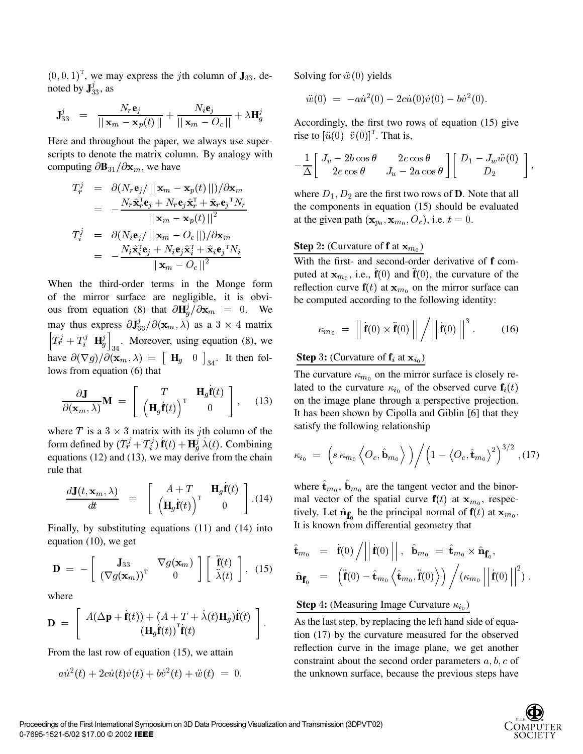$(0, 0, 1)^T$ , we may express the *j*th column of  $\mathbf{J}_{33}$ , denoted by  $\mathbf{J}_{33}^j$ , as

$$
\mathbf{J}_{33}^j = \frac{N_r \mathbf{e}_j}{\|\mathbf{x}_m - \mathbf{x}_p(t)\|} + \frac{N_i \mathbf{e}_j}{\|\mathbf{x}_m - O_c\|} + \lambda \mathbf{H}_g^j
$$

Here and throughout the paper, we always use superscripts to denote the matrix column. By analogy with computing  $\partial \mathbf{B}_{31}/\partial \mathbf{x}_m$ , we have

$$
T_r^j = \frac{\partial (N_r \mathbf{e}_j / || \mathbf{x}_m - \mathbf{x}_p(t) ||) / \partial \mathbf{x}_m}{\vert = -\frac{N_r \hat{\mathbf{x}}_r^{\mathrm{T}} \mathbf{e}_j + N_r \mathbf{e}_j \hat{\mathbf{x}}_r^{\mathrm{T}} + \hat{\mathbf{x}}_r \mathbf{e}_j^{\mathrm{T}} N_r}{\vert \vert \mathbf{x}_m - \mathbf{x}_p(t) \vert \vert^2}
$$
  

$$
T_i^j = \frac{\partial (N_i \mathbf{e}_j / || \mathbf{x}_m - O_c ||) / \partial \mathbf{x}_m}{\vert = -\frac{N_i \hat{\mathbf{x}}_i^{\mathrm{T}} \mathbf{e}_j + N_i \mathbf{e}_j \hat{\mathbf{x}}_i^{\mathrm{T}} + \hat{\mathbf{x}}_i \mathbf{e}_j^{\mathrm{T}} N_i}{\vert \vert \mathbf{x}_m - O_c \vert \vert^2}
$$

When the third-order terms in the Monge form of the mirror surface are negligible, it is obvious from equation (8) that  $\partial \mathbf{H}_{a}^{j}/\partial \mathbf{x}_{m} = 0$ . We may thus express  $\partial J_{33}^j/\partial({\bf x}_m,\lambda)$  as a 3  $\times$  4 matrix  $\begin{bmatrix} T_r^j + T_i^j & \mathbf{H}_q^j \end{bmatrix}$  . N  $\left[\mathbf{H}_g^j\right]_{g}$ . Moreover, using equation (8), we have  $\partial(\nabla g)/\partial(\mathbf{x}_m,\lambda) = [\mathbf{H}_g \quad 0]_{34}$ . It then follows from equation (6) that

$$
\frac{\partial \mathbf{J}}{\partial(\mathbf{x}_m, \lambda)} \mathbf{M} = \begin{bmatrix} T & \mathbf{H}_g \mathbf{f}(t) \\ \left(\mathbf{H}_g \mathbf{f}(t)\right)^{\mathrm{T}} & 0 \end{bmatrix}, \quad (13)
$$

where T is a  $3 \times 3$  matrix with its jth column of the form defined by  $(T_r^j + T_i^j)$  **f**(t) + **H** $_q^j \lambda(t)$ . Combining  $\sim$ equations (12) and (13), we may derive from the chain rule that

$$
\frac{d\mathbf{J}(t,\mathbf{x}_m,\lambda)}{dt} = \begin{bmatrix} A+T & \mathbf{H}_g\mathbf{f}(t) \\ \left(\mathbf{H}_g\mathbf{f}(t)\right)^{\mathrm{T}} & 0 \end{bmatrix} . (14)
$$

Finally, by substituting equations (11) and (14) into equation (10), we get

$$
\mathbf{D} = -\begin{bmatrix} \mathbf{J}_{33} & \nabla g(\mathbf{x}_m) \\ (\nabla g(\mathbf{x}_m))^{\mathrm{T}} & 0 \end{bmatrix} \begin{bmatrix} \ddot{\mathbf{f}}(t) \\ \ddot{\lambda}(t) \end{bmatrix}, \tag{15}
$$

where

$$
\mathbf{D} = \begin{bmatrix} A(\Delta \mathbf{p} + \dot{\mathbf{f}}(t)) + (A + T + \dot{\lambda}(t) \mathbf{H}_g) \dot{\mathbf{f}}(t) \\ (\mathbf{H}_g \dot{\mathbf{f}}(t))^T \dot{\mathbf{f}}(t) \end{bmatrix} .
$$

From the last row of equation (15), we attain

$$
a\dot{u}^2(t) + 2c\dot{u}(t)\dot{v}(t) + b\dot{v}^2(t) + \ddot{w}(t) = 0.
$$

Solving for  $\ddot{w}(0)$  yields

$$
\ddot w(0) ~=~ -a\dot u^2(0)-2c\dot u(0)\dot v(0)-b\dot v^2(0).
$$

Accordingly, the first two rows of equation (15) give rise to  $[\ddot{u}(0) \ddot{v}(0)]^T$ . That is,

$$
-\frac{1}{\Delta} \bigg[\begin{array}{cc}J_v-2b\cos\theta & 2c\cos\theta \\ 2c\cos\theta & J_u-2a\cos\theta \end{array}\bigg] \bigg[\begin{array}{c}D_1-J_w\ddot{w}(0) \\ D_2 \end{array}\bigg] \ ,
$$

where  $D_1, D_2$  are the first two rows of **D**. Note that all the components in equation (15) should be evaluated at the given path  $(\mathbf{x}_{p_0}, \mathbf{x}_{m_0}, O_c)$ , i.e.  $t = 0$ .

# **Step** 2: (Curvature of **f** at  $\mathbf{x}_{m_0}$ )

With the first- and second-order derivative of **f** computed at  $\mathbf{x}_{m_0}$ , i.e.,  $\mathbf{f}(0)$  and  $\mathbf{f}(0)$ , the curvature of the reflection curve  $f(t)$  at  $x_{m_0}$  on the mirror surface can be computed according to the following identity:

$$
\kappa_{m_0} = \left| \left| \dot{\mathbf{f}}(0) \times \ddot{\mathbf{f}}(0) \right| \right| / \left| \left| \dot{\mathbf{f}}(0) \right| \right|^3. \tag{16}
$$

**Step** 3: (Curvature of  $f_i$  at  $\mathbf{x}_{i_0}$ )

The curvature  $\kappa_{m_0}$  on the mirror surface is closely related to the curvature  $\kappa_{i_0}$  of the observed curve  $f_i(t)$ on the image plane through a perspective projection. It has been shown by Cipolla and Giblin [6] that they satisfy the following relationship

$$
\kappa_{i_0} = \left( s \kappa_{m_0} \left\langle O_c, \hat{\mathbf{b}}_{m_0} \right\rangle \right) \Big/ \left( 1 - \left\langle O_c, \hat{\mathbf{t}}_{m_0} \right\rangle^2 \right)^{3/2}, (17)
$$

where  $\mathbf{t}_{m_0}$ ,  $\mathbf{b}_{m_0}$  are the tangent vector and the binormal vector of the spatial curve  $f(t)$  at  $x_{m_0}$ , respectively. Let  $\hat{\mathbf{n}}_{\mathbf{f}_0}$  be the principal normal of  $\mathbf{f}(t)$  at  $\mathbf{x}_{m_0}$ . It is known from differential geometry that

$$
\begin{array}{rcl}\n\hat{\mathbf{t}}_{m_0} & = & \hat{\mathbf{f}}(0) \big/ \big\| \, \hat{\mathbf{f}}(0) \, \big\| \;, \quad \hat{\mathbf{b}}_{m_0} \, = \, \hat{\mathbf{t}}_{m_0} \times \hat{\mathbf{n}}_{\mathbf{f}_0}, \\
\hat{\mathbf{n}}_{\mathbf{f}_0} & = & \left( \ddot{\mathbf{f}}(0) - \hat{\mathbf{t}}_{m_0} \left\langle \hat{\mathbf{t}}_{m_0}, \ddot{\mathbf{f}}(0) \right\rangle \right) \big/ \left( \kappa_{m_0} \left\| \left\vert \dot{\mathbf{f}}(0) \right\vert \right\vert^2 \right) \,.\n\end{array}
$$

#### **Step** 4: (Measuring Image Curvature  $\kappa_{i_0}$ )

As the last step, by replacing the left hand side of equation (17) by the curvature measured for the observed reflection curve in the image plane, we get another constraint about the second order parameters  $a, b, c$  of the unknown surface, because the previous steps have